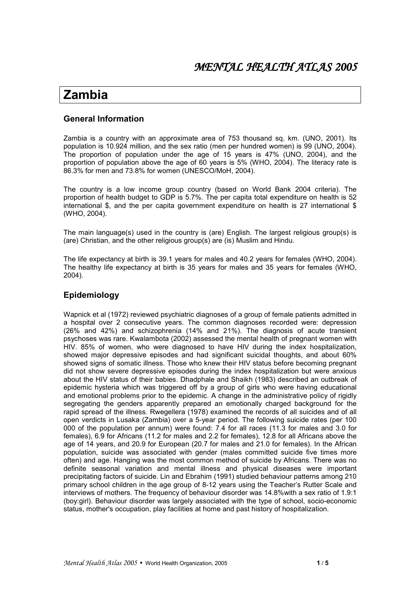# Zambia

# **General Information**

Zambia is a country with an approximate area of 753 thousand sq. km. (UNO, 2001). Its population is 10.924 million, and the sex ratio (men per hundred women) is 99 (UNO, 2004). The proportion of population under the age of 15 years is 47% (UNO, 2004), and the proportion of population above the age of 60 years is 5% (WHO, 2004). The literacy rate is 86.3% for men and 73.8% for women (UNESCO/MoH, 2004).

The country is a low income group country (based on World Bank 2004 criteria). The proportion of health budget to GDP is 5.7%. The per capita total expenditure on health is 52 international \$, and the per capita government expenditure on health is 27 international \$ (WHO, 2004).

The main language(s) used in the country is (are) English. The largest religious group(s) is (are) Christian, and the other religious group(s) are (is) Muslim and Hindu.

The life expectancy at birth is 39.1 years for males and 40.2 years for females (WHO, 2004). The healthy life expectancy at birth is 35 years for males and 35 years for females (WHO.  $2004$ ).

# Epidemiology

Wapnick et al (1972) reviewed psychiatric diagnoses of a group of female patients admitted in a hospital over 2 consecutive years. The common diagnoses recorded were: depression (26% and 42%) and schizophrenia (14% and 21%). The diagnosis of acute transient psychoses was rare. Kwalambota (2002) assessed the mental health of pregnant women with HIV. 85% of women, who were diagnosed to have HIV during the index hospitalization, showed major depressive episodes and had significant suicidal thoughts, and about 60% showed signs of somatic illness. Those who knew their HIV status before becoming pregnant did not show severe depressive episodes during the index hospitalization but were anxious about the HIV status of their babies. Dhadphale and Shaikh (1983) described an outbreak of epidemic hysteria which was triggered off by a group of girls who were having educational and emotional problems prior to the epidemic. A change in the administrative policy of rigidly segregating the genders apparently prepared an emotionally charged background for the rapid spread of the illness. Rwegellera (1978) examined the records of all suicides and of all open verdicts in Lusaka (Zambia) over a 5-year period. The following suicide rates (per 100 000 of the population per annum) were found: 7.4 for all races (11.3 for males and 3.0 for females), 6.9 for Africans (11.2 for males and 2.2 for females), 12.8 for all Africans above the age of 14 years, and 20.9 for European (20.7 for males and 21.0 for females). In the African population, suicide was associated with gender (males committed suicide five times more often) and age. Hanging was the most common method of suicide by Africans. There was no definite seasonal variation and mental illness and physical diseases were important precipitating factors of suicide. Lin and Ebrahim (1991) studied behaviour patterns among 210 primary school children in the age group of 8-12 years using the Teacher's Rutter Scale and interviews of mothers. The frequency of behaviour disorder was 14.8% with a sex ratio of 1.9:1 (boy:girl). Behaviour disorder was largely associated with the type of school, socio-economic status, mother's occupation, play facilities at home and past history of hospitalization.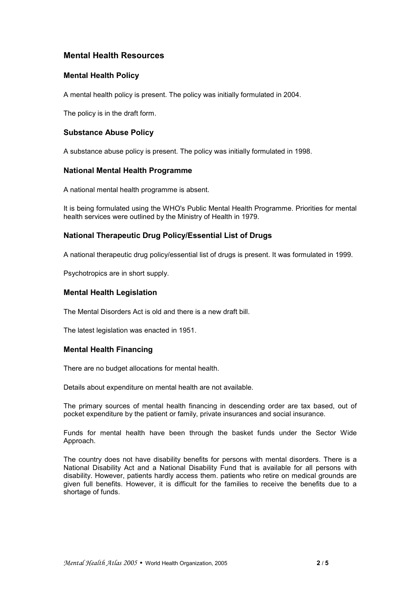# **Mental Health Resources**

#### **Mental Health Policy**

A mental health policy is present. The policy was initially formulated in 2004.

The policy is in the draft form.

# **Substance Abuse Policy**

A substance abuse policy is present. The policy was initially formulated in 1998.

#### **National Mental Health Programme**

A national mental health programme is absent.

It is being formulated using the WHO's Public Mental Health Programme. Priorities for mental health services were outlined by the Ministry of Health in 1979.

# **National Therapeutic Drug Policy/Essential List of Drugs**

A national therapeutic drug policy/essential list of drugs is present. It was formulated in 1999.

Psychotropics are in short supply.

#### **Mental Health Legislation**

The Mental Disorders Act is old and there is a new draft bill.

The latest legislation was enacted in 1951.

#### **Mental Health Financing**

There are no budget allocations for mental health.

Details about expenditure on mental health are not available.

The primary sources of mental health financing in descending order are tax based, out of pocket expenditure by the patient or family, private insurances and social insurance.

Funds for mental health have been through the basket funds under the Sector Wide Approach.

The country does not have disability benefits for persons with mental disorders. There is a National Disability Act and a National Disability Fund that is available for all persons with disability. However, patients hardly access them. patients who retire on medical grounds are given full benefits. However, it is difficult for the families to receive the benefits due to a shortage of funds.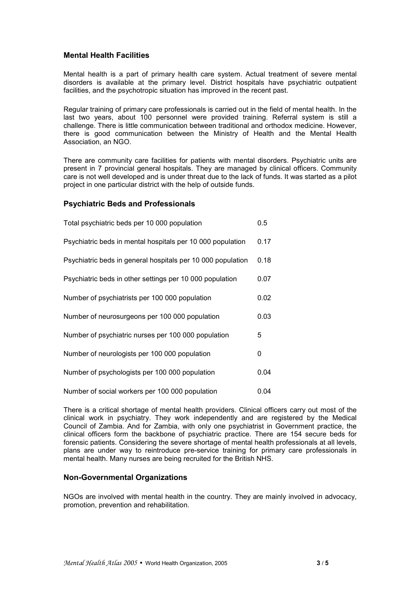# **Mental Health Facilities**

Mental health is a part of primary health care system. Actual treatment of severe mental disorders is available at the primary level. District hospitals have psychiatric outpatient facilities, and the psychotropic situation has improved in the recent past.

Regular training of primary care professionals is carried out in the field of mental health. In the last two years, about 100 personnel were provided training. Referral system is still a challenge. There is little communication between traditional and orthodox medicine. However, there is good communication between the Ministry of Health and the Mental Health Association, an NGO.

There are community care facilities for patients with mental disorders. Psychiatric units are present in 7 provincial general hospitals. They are managed by clinical officers. Community care is not well developed and is under threat due to the lack of funds. It was started as a pilot project in one particular district with the help of outside funds.

# **Psychiatric Beds and Professionals**

| Total psychiatric beds per 10 000 population                | 0.5  |
|-------------------------------------------------------------|------|
| Psychiatric beds in mental hospitals per 10 000 population  | 0.17 |
| Psychiatric beds in general hospitals per 10 000 population | 0.18 |
| Psychiatric beds in other settings per 10 000 population    | 0.07 |
| Number of psychiatrists per 100 000 population              | 0.02 |
| Number of neurosurgeons per 100 000 population              | 0.03 |
| Number of psychiatric nurses per 100 000 population         | 5    |
| Number of neurologists per 100 000 population               | 0    |
| Number of psychologists per 100 000 population              | 0.04 |
| Number of social workers per 100 000 population             | 0.04 |

There is a critical shortage of mental health providers. Clinical officers carry out most of the clinical work in psychiatry. They work independently and are registered by the Medical Council of Zambia. And for Zambia, with only one psychiatrist in Government practice, the clinical officers form the backbone of psychiatric practice. There are 154 secure beds for forensic patients. Considering the severe shortage of mental health professionals at all levels, plans are under way to reintroduce pre-service training for primary care professionals in mental health. Many nurses are being recruited for the British NHS.

#### **Non-Governmental Organizations**

NGOs are involved with mental health in the country. They are mainly involved in advocacy, promotion, prevention and rehabilitation.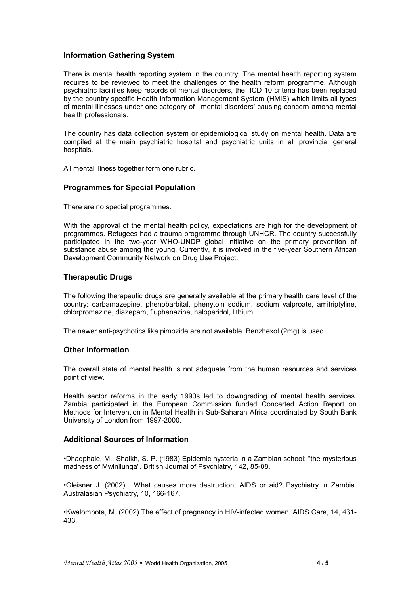# **Information Gathering System**

There is mental health reporting system in the country. The mental health reporting system requires to be reviewed to meet the challenges of the health reform programme. Although psychiatric facilities keep records of mental disorders, the ICD 10 criteria has been replaced by the country specific Health Information Management System (HMIS) which limits all types of mental illnesses under one category of 'mental disorders' causing concern among mental health professionals.

The country has data collection system or epidemiological study on mental health. Data are compiled at the main psychiatric hospital and psychiatric units in all provincial general hospitals.

All mental illness together form one rubric.

#### **Programmes for Special Population**

There are no special programmes.

With the approval of the mental health policy, expectations are high for the development of programmes. Refugees had a trauma programme through UNHCR. The country successfully participated in the two-year WHO-UNDP global initiative on the primary prevention of substance abuse among the young. Currently, it is involved in the five-year Southern African Development Community Network on Drug Use Project.

# **Therapeutic Drugs**

The following therapeutic drugs are generally available at the primary health care level of the country: carbamazepine, phenobarbital, phenytoin sodium, sodium valproate, amitriptyline, chlorpromazine, diazepam, fluphenazine, haloperidol, lithium.

The newer anti-psychotics like pimozide are not available. Benzhexol (2mg) is used.

#### **Other Information**

The overall state of mental health is not adequate from the human resources and services point of view.

Health sector reforms in the early 1990s led to downgrading of mental health services. Zambia participated in the European Commission funded Concerted Action Report on Methods for Intervention in Mental Health in Sub-Saharan Africa coordinated by South Bank University of London from 1997-2000.

#### **Additional Sources of Information**

•Dhadphale, M., Shaikh, S. P. (1983) Epidemic hysteria in a Zambian school: "the mysterious madness of Mwinilunga". British Journal of Psychiatry, 142, 85-88.

.Gleisner J. (2002). What causes more destruction, AIDS or aid? Psychiatry in Zambia. Australasian Psychiatry, 10, 166-167.

•Kwalombota, M. (2002) The effect of pregnancy in HIV-infected women. AIDS Care, 14, 431-433.